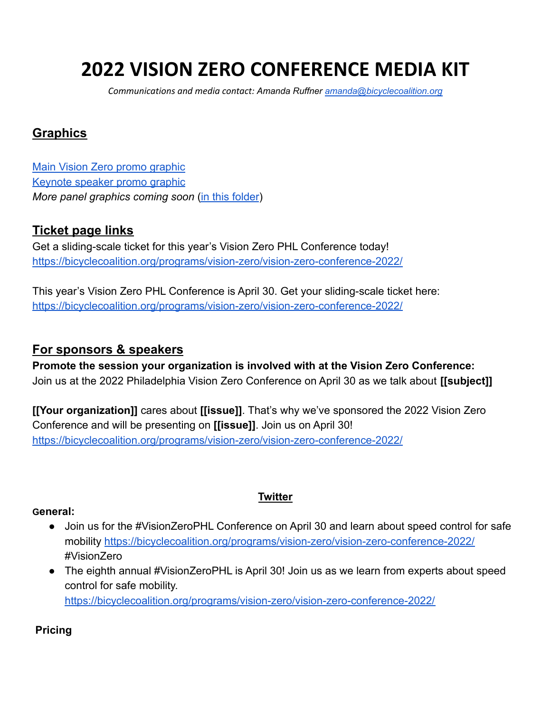# **2022 VISION ZERO CONFERENCE MEDIA KIT**

*Communications and media contact: Amanda Ruffner [amanda@bicyclecoalition.org](mailto:amanda@bicyclecoalition.org)*

## **Graphics**

[Main Vision Zero promo graphic](https://drive.google.com/file/d/1FHecQdFh3mQGhyYDhZ3I-CupoDNMvBJ1/view?usp=sharing) [Keynote speaker promo graphic](https://drive.google.com/file/d/1Qmkb5exCHjgPJKJ2IZwIqXriuSeNz468/view?usp=sharing) *More panel graphics coming soon* [\(in this folder](https://drive.google.com/drive/folders/1YMik7PkHFL-Iny-_2g4vWXTvUf4CJK1u?usp=sharing))

## **Ticket page links**

Get a sliding-scale ticket for this year's Vision Zero PHL Conference today! [https://bicyclecoalition.org/programs/vision-zero/vision-zero-conference-2022/](http://bicyclecoalition.nonprofitsoapbox.com/vz2018)

This year's Vision Zero PHL Conference is April 30. Get your sliding-scale ticket here: <https://bicyclecoalition.org/programs/vision-zero/vision-zero-conference-2022/>

### **For sponsors & speakers**

**Promote the session your organization is involved with at the Vision Zero Conference:** Join us at the 2022 Philadelphia Vision Zero Conference on April 30 as we talk about **[[subject]]**

**[[Your organization]]** cares about **[[issue]]**. That's why we've sponsored the 2022 Vision Zero Conference and will be presenting on **[[issue]]**. Join us on April 30! <https://bicyclecoalition.org/programs/vision-zero/vision-zero-conference-2022/>

#### **General:**

● Join us for the #VisionZeroPHL Conference on April 30 and learn about speed control for safe mobility <https://bicyclecoalition.org/programs/vision-zero/vision-zero-conference-2022/> #VisionZero

**Twitter**

• The eighth annual #VisionZeroPHL is April 30! Join us as we learn from experts about speed control for safe mobility. <https://bicyclecoalition.org/programs/vision-zero/vision-zero-conference-2022/>

#### **Pricing**